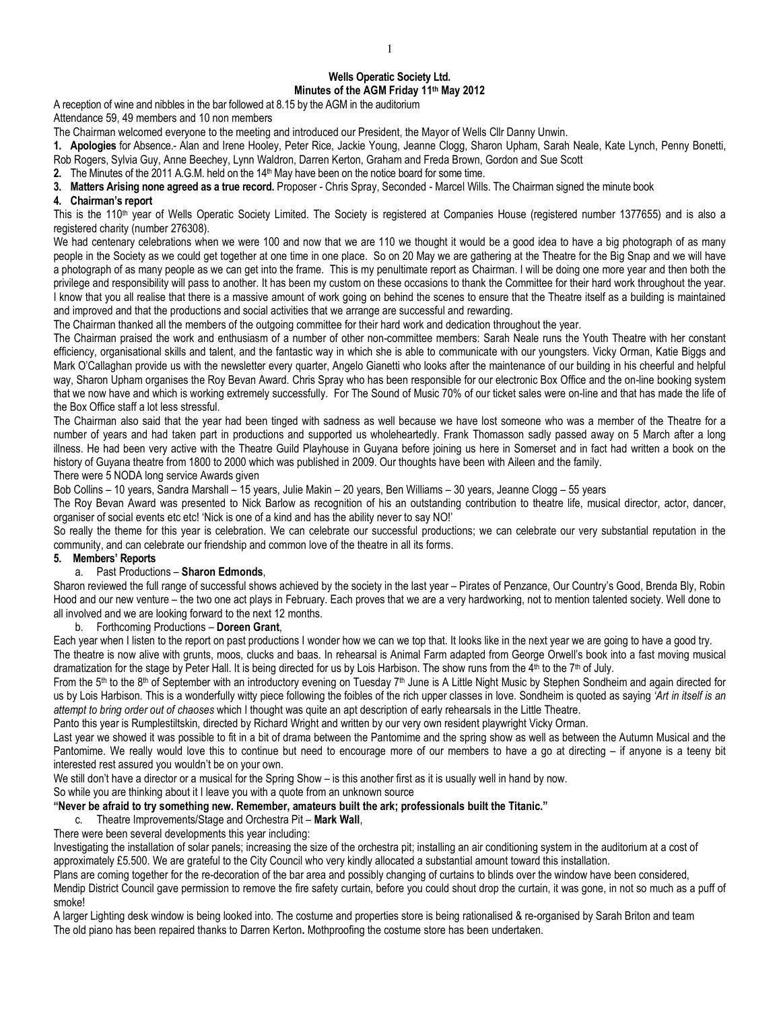# **Wells Operatic Society Ltd. Minutes of the AGM Friday 11th May 2012**

A reception of wine and nibbles in the bar followed at 8.15 by the AGM in the auditorium

Attendance 59, 49 members and 10 non members

The Chairman welcomed everyone to the meeting and introduced our President, the Mayor of Wells Cllr Danny Unwin.

**1. Apologies** for Absence.- Alan and Irene Hooley, Peter Rice, Jackie Young, Jeanne Clogg, Sharon Upham, Sarah Neale, Kate Lynch, Penny Bonetti, Rob Rogers, Sylvia Guy, Anne Beechey, Lynn Waldron, Darren Kerton, Graham and Freda Brown, Gordon and Sue Scott

**2.** The Minutes of the 2011 A.G.M. held on the 14<sup>th</sup> May have been on the notice board for some time.

**3. Matters Arising none agreed as a true record.** Proposer - Chris Spray, Seconded - Marcel Wills. The Chairman signed the minute book

### **4. Chairman's report**

This is the 110<sup>th</sup> year of Wells Operatic Society Limited. The Society is registered at Companies House (registered number 1377655) and is also a registered charity (number 276308).

We had centenary celebrations when we were 100 and now that we are 110 we thought it would be a good idea to have a big photograph of as many people in the Society as we could get together at one time in one place. So on 20 May we are gathering at the Theatre for the Big Snap and we will have a photograph of as many people as we can get into the frame. This is my penultimate report as Chairman. I will be doing one more year and then both the privilege and responsibility will pass to another. It has been my custom on these occasions to thank the Committee for their hard work throughout the year. I know that you all realise that there is a massive amount of work going on behind the scenes to ensure that the Theatre itself as a building is maintained and improved and that the productions and social activities that we arrange are successful and rewarding.

The Chairman thanked all the members of the outgoing committee for their hard work and dedication throughout the year.

The Chairman praised the work and enthusiasm of a number of other non-committee members: Sarah Neale runs the Youth Theatre with her constant efficiency, organisational skills and talent, and the fantastic way in which she is able to communicate with our youngsters. Vicky Orman, Katie Biggs and Mark O'Callaghan provide us with the newsletter every quarter, Angelo Gianetti who looks after the maintenance of our building in his cheerful and helpful way, Sharon Upham organises the Roy Bevan Award. Chris Spray who has been responsible for our electronic Box Office and the on-line booking system that we now have and which is working extremely successfully. For The Sound of Music 70% of our ticket sales were on-line and that has made the life of the Box Office staff a lot less stressful.

The Chairman also said that the year had been tinged with sadness as well because we have lost someone who was a member of the Theatre for a number of years and had taken part in productions and supported us wholeheartedly. Frank Thomasson sadly passed away on 5 March after a long illness. He had been very active with the Theatre Guild Playhouse in Guyana before joining us here in Somerset and in fact had written a book on the history of Guyana theatre from 1800 to 2000 which was published in 2009. Our thoughts have been with Aileen and the family.

There were 5 NODA long service Awards given

Bob Collins – 10 years, Sandra Marshall – 15 years, Julie Makin – 20 years, Ben Williams – 30 years, Jeanne Clogg – 55 years

The Roy Bevan Award was presented to Nick Barlow as recognition of his an outstanding contribution to theatre life, musical director, actor, dancer, organiser of social events etc etc! 'Nick is one of a kind and has the ability never to say NO!'

So really the theme for this year is celebration. We can celebrate our successful productions; we can celebrate our very substantial reputation in the community, and can celebrate our friendship and common love of the theatre in all its forms.

### **5. Members' Reports**

### a. Past Productions – **Sharon Edmonds**,

Sharon reviewed the full range of successful shows achieved by the society in the last year – Pirates of Penzance, Our Country's Good, Brenda Bly, Robin Hood and our new venture – the two one act plays in February. Each proves that we are a very hardworking, not to mention talented society. Well done to all involved and we are looking forward to the next 12 months.

b. Forthcoming Productions – **Doreen Grant**,

Each year when I listen to the report on past productions I wonder how we can we top that. It looks like in the next year we are going to have a good try. The theatre is now alive with grunts, moos, clucks and baas. In rehearsal is Animal Farm adapted from George Orwell's book into a fast moving musical dramatization for the stage by Peter Hall. It is being directed for us by Lois Harbison. The show runs from the 4 th to the 7th of July.

From the 5<sup>th</sup> to the 8<sup>th</sup> of September with an introductory evening on Tuesday 7<sup>th</sup> June is A Little Night Music by Stephen Sondheim and again directed for us by Lois Harbison. This is a wonderfully witty piece following the foibles of the rich upper classes in love. Sondheim is quoted as saying *'Art in itself is an attempt to bring order out of chaoses* which I thought was quite an apt description of early rehearsals in the Little Theatre.

Panto this year is Rumplestiltskin, directed by Richard Wright and written by our very own resident playwright Vicky Orman.

Last year we showed it was possible to fit in a bit of drama between the Pantomime and the spring show as well as between the Autumn Musical and the Pantomime. We really would love this to continue but need to encourage more of our members to have a go at directing – if anyone is a teeny bit interested rest assured you wouldn't be on your own.

We still don't have a director or a musical for the Spring Show – is this another first as it is usually well in hand by now.

### So while you are thinking about it I leave you with a quote from an unknown source

# **"Never be afraid to try something new. Remember, amateurs built the ark; professionals built the Titanic."**

# c. Theatre Improvements/Stage and Orchestra Pit – **Mark Wall**,

There were been several developments this year including:

Investigating the installation of solar panels; increasing the size of the orchestra pit; installing an air conditioning system in the auditorium at a cost of approximately £5.500. We are grateful to the City Council who very kindly allocated a substantial amount toward this installation.

Plans are coming together for the re-decoration of the bar area and possibly changing of curtains to blinds over the window have been considered,

Mendip District Council gave permission to remove the fire safety curtain, before you could shout drop the curtain, it was gone, in not so much as a puff of smoke!

A larger Lighting desk window is being looked into. The costume and properties store is being rationalised & re-organised by Sarah Briton and team The old piano has been repaired thanks to Darren Kerton**.** Mothproofing the costume store has been undertaken.